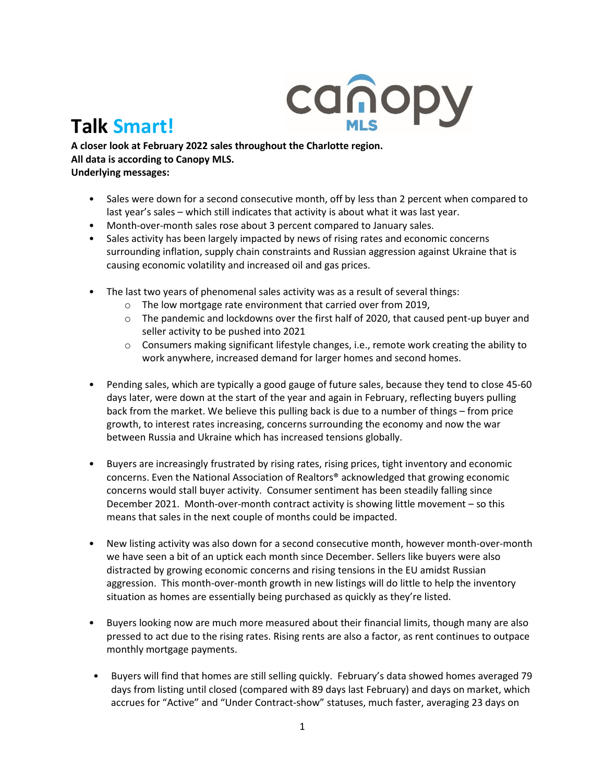

## **Talk Smart!**

**A closer look at February 2022 sales throughout the Charlotte region. All data is according to Canopy MLS. Underlying messages:** 

- Sales were down for a second consecutive month, off by less than 2 percent when compared to last year's sales – which still indicates that activity is about what it was last year.
- Month-over-month sales rose about 3 percent compared to January sales.
- Sales activity has been largely impacted by news of rising rates and economic concerns surrounding inflation, supply chain constraints and Russian aggression against Ukraine that is causing economic volatility and increased oil and gas prices.
- The last two years of phenomenal sales activity was as a result of several things:
	- o The low mortgage rate environment that carried over from 2019,
	- $\circ$  The pandemic and lockdowns over the first half of 2020, that caused pent-up buyer and seller activity to be pushed into 2021
	- o Consumers making significant lifestyle changes, i.e., remote work creating the ability to work anywhere, increased demand for larger homes and second homes.
- Pending sales, which are typically a good gauge of future sales, because they tend to close 45-60 days later, were down at the start of the year and again in February, reflecting buyers pulling back from the market. We believe this pulling back is due to a number of things – from price growth, to interest rates increasing, concerns surrounding the economy and now the war between Russia and Ukraine which has increased tensions globally.
- Buyers are increasingly frustrated by rising rates, rising prices, tight inventory and economic concerns. Even the National Association of Realtors® acknowledged that growing economic concerns would stall buyer activity. Consumer sentiment has been steadily falling since December 2021. Month-over-month contract activity is showing little movement – so this means that sales in the next couple of months could be impacted.
- New listing activity was also down for a second consecutive month, however month-over-month we have seen a bit of an uptick each month since December. Sellers like buyers were also distracted by growing economic concerns and rising tensions in the EU amidst Russian aggression. This month-over-month growth in new listings will do little to help the inventory situation as homes are essentially being purchased as quickly as they're listed.
- Buyers looking now are much more measured about their financial limits, though many are also pressed to act due to the rising rates. Rising rents are also a factor, as rent continues to outpace monthly mortgage payments.
- Buyers will find that homes are still selling quickly. February's data showed homes averaged 79 days from listing until closed (compared with 89 days last February) and days on market, which accrues for "Active" and "Under Contract-show" statuses, much faster, averaging 23 days on